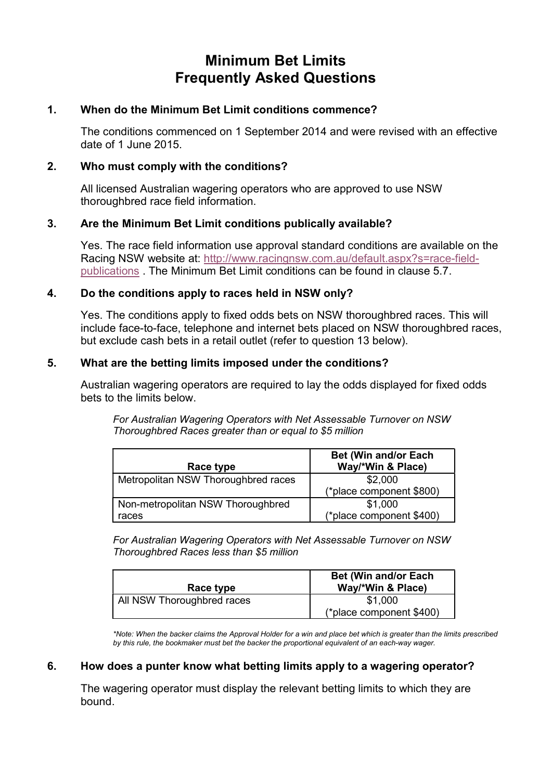# Minimum Bet Limits Frequently Asked Questions

#### 1. When do the Minimum Bet Limit conditions commence?

The conditions commenced on 1 September 2014 and were revised with an effective date of 1 June 2015.

# 2. Who must comply with the conditions?

All licensed Australian wagering operators who are approved to use NSW thoroughbred race field information.

# 3. Are the Minimum Bet Limit conditions publically available?

Yes. The race field information use approval standard conditions are available on the Racing NSW website at: http://www.racingnsw.com.au/default.aspx?s=race-fieldpublications . The Minimum Bet Limit conditions can be found in clause 5.7.

# 4. Do the conditions apply to races held in NSW only?

Yes. The conditions apply to fixed odds bets on NSW thoroughbred races. This will include face-to-face, telephone and internet bets placed on NSW thoroughbred races, but exclude cash bets in a retail outlet (refer to question 13 below).

# 5. What are the betting limits imposed under the conditions?

Australian wagering operators are required to lay the odds displayed for fixed odds bets to the limits below.

For Australian Wagering Operators with Net Assessable Turnover on NSW Thoroughbred Races greater than or equal to \$5 million

| Race type                                  | <b>Bet (Win and/or Each</b><br>Way/*Win & Place) |
|--------------------------------------------|--------------------------------------------------|
| Metropolitan NSW Thoroughbred races        | \$2,000<br>(*place component \$800)              |
| Non-metropolitan NSW Thoroughbred<br>races | \$1,000<br>(*place component \$400)              |

For Australian Wagering Operators with Net Assessable Turnover on NSW Thoroughbred Races less than \$5 million

| Race type                  | <b>Bet (Win and/or Each)</b><br>Way/*Win & Place) |
|----------------------------|---------------------------------------------------|
| All NSW Thoroughbred races | \$1,000<br>(*place component \$400)               |

\*Note: When the backer claims the Approval Holder for a win and place bet which is greater than the limits prescribed by this rule, the bookmaker must bet the backer the proportional equivalent of an each-way wager.

#### 6. How does a punter know what betting limits apply to a wagering operator?

The wagering operator must display the relevant betting limits to which they are bound.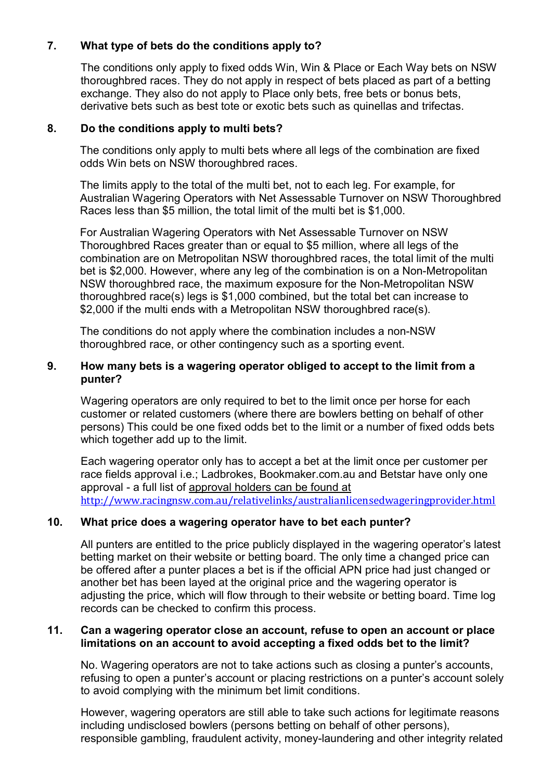# 7. What type of bets do the conditions apply to?

The conditions only apply to fixed odds Win, Win & Place or Each Way bets on NSW thoroughbred races. They do not apply in respect of bets placed as part of a betting exchange. They also do not apply to Place only bets, free bets or bonus bets, derivative bets such as best tote or exotic bets such as quinellas and trifectas.

#### 8. Do the conditions apply to multi bets?

The conditions only apply to multi bets where all legs of the combination are fixed odds Win bets on NSW thoroughbred races.

The limits apply to the total of the multi bet, not to each leg. For example, for Australian Wagering Operators with Net Assessable Turnover on NSW Thoroughbred Races less than \$5 million, the total limit of the multi bet is \$1,000.

For Australian Wagering Operators with Net Assessable Turnover on NSW Thoroughbred Races greater than or equal to \$5 million, where all legs of the combination are on Metropolitan NSW thoroughbred races, the total limit of the multi bet is \$2,000. However, where any leg of the combination is on a Non-Metropolitan NSW thoroughbred race, the maximum exposure for the Non-Metropolitan NSW thoroughbred race(s) legs is \$1,000 combined, but the total bet can increase to \$2,000 if the multi ends with a Metropolitan NSW thoroughbred race(s).

The conditions do not apply where the combination includes a non-NSW thoroughbred race, or other contingency such as a sporting event.

# 9. How many bets is a wagering operator obliged to accept to the limit from a punter?

Wagering operators are only required to bet to the limit once per horse for each customer or related customers (where there are bowlers betting on behalf of other persons) This could be one fixed odds bet to the limit or a number of fixed odds bets which together add up to the limit.

Each wagering operator only has to accept a bet at the limit once per customer per race fields approval i.e.; Ladbrokes, Bookmaker.com.au and Betstar have only one approval - a full list of approval holders can be found at http://www.racingnsw.com.au/relativelinks/australianlicensedwageringprovider.html

#### 10. What price does a wagering operator have to bet each punter?

All punters are entitled to the price publicly displayed in the wagering operator's latest betting market on their website or betting board. The only time a changed price can be offered after a punter places a bet is if the official APN price had just changed or another bet has been layed at the original price and the wagering operator is adjusting the price, which will flow through to their website or betting board. Time log records can be checked to confirm this process.

#### 11. Can a wagering operator close an account, refuse to open an account or place limitations on an account to avoid accepting a fixed odds bet to the limit?

No. Wagering operators are not to take actions such as closing a punter's accounts, refusing to open a punter's account or placing restrictions on a punter's account solely to avoid complying with the minimum bet limit conditions.

However, wagering operators are still able to take such actions for legitimate reasons including undisclosed bowlers (persons betting on behalf of other persons), responsible gambling, fraudulent activity, money-laundering and other integrity related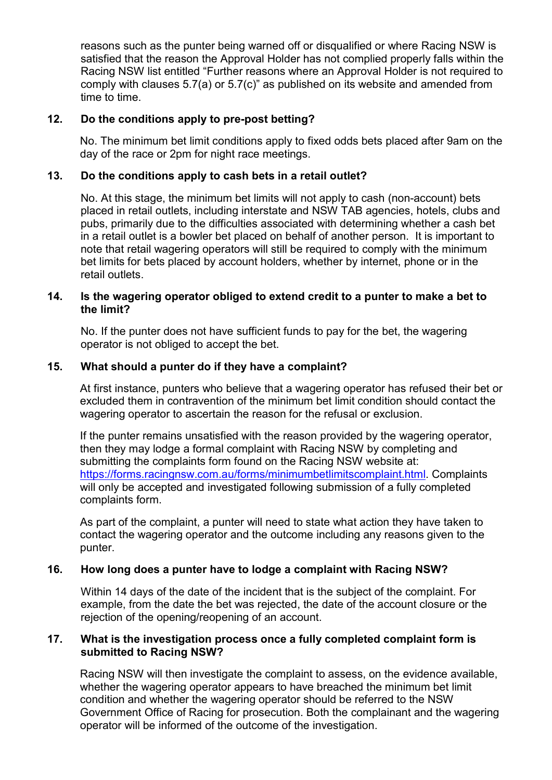reasons such as the punter being warned off or disqualified or where Racing NSW is satisfied that the reason the Approval Holder has not complied properly falls within the Racing NSW list entitled "Further reasons where an Approval Holder is not required to comply with clauses 5.7(a) or 5.7(c)" as published on its website and amended from time to time.

# 12. Do the conditions apply to pre-post betting?

No. The minimum bet limit conditions apply to fixed odds bets placed after 9am on the day of the race or 2pm for night race meetings.

# 13. Do the conditions apply to cash bets in a retail outlet?

No. At this stage, the minimum bet limits will not apply to cash (non-account) bets placed in retail outlets, including interstate and NSW TAB agencies, hotels, clubs and pubs, primarily due to the difficulties associated with determining whether a cash bet in a retail outlet is a bowler bet placed on behalf of another person. It is important to note that retail wagering operators will still be required to comply with the minimum bet limits for bets placed by account holders, whether by internet, phone or in the retail outlets.

#### 14. Is the wagering operator obliged to extend credit to a punter to make a bet to the limit?

No. If the punter does not have sufficient funds to pay for the bet, the wagering operator is not obliged to accept the bet.

# 15. What should a punter do if they have a complaint?

At first instance, punters who believe that a wagering operator has refused their bet or excluded them in contravention of the minimum bet limit condition should contact the wagering operator to ascertain the reason for the refusal or exclusion.

If the punter remains unsatisfied with the reason provided by the wagering operator, then they may lodge a formal complaint with Racing NSW by completing and submitting the complaints form found on the Racing NSW website at: https://forms.racingnsw.com.au/forms/minimumbetlimitscomplaint.html. Complaints will only be accepted and investigated following submission of a fully completed complaints form.

As part of the complaint, a punter will need to state what action they have taken to contact the wagering operator and the outcome including any reasons given to the punter.

# 16. How long does a punter have to lodge a complaint with Racing NSW?

Within 14 days of the date of the incident that is the subject of the complaint. For example, from the date the bet was rejected, the date of the account closure or the rejection of the opening/reopening of an account.

#### 17. What is the investigation process once a fully completed complaint form is submitted to Racing NSW?

Racing NSW will then investigate the complaint to assess, on the evidence available, whether the wagering operator appears to have breached the minimum bet limit condition and whether the wagering operator should be referred to the NSW Government Office of Racing for prosecution. Both the complainant and the wagering operator will be informed of the outcome of the investigation.